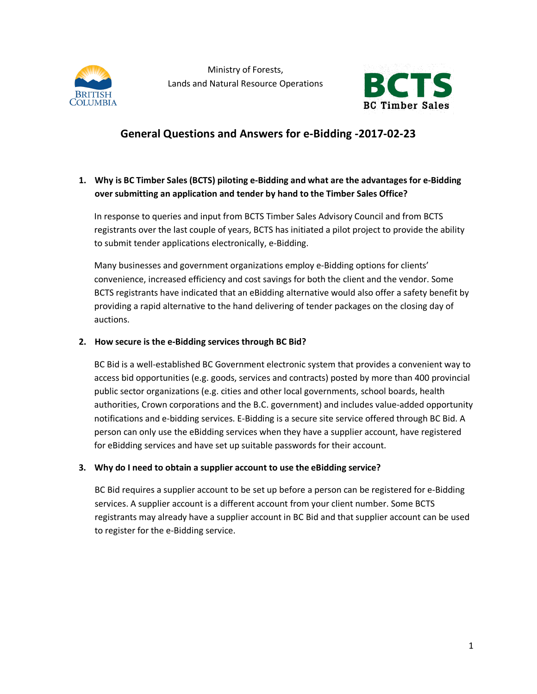



# **General Questions and Answers for e-Bidding -2017-02-23**

# **1. Why is BC Timber Sales (BCTS) piloting e-Bidding and what are the advantages for e-Bidding over submitting an application and tender by hand to the Timber Sales Office?**

In response to queries and input from BCTS Timber Sales Advisory Council and from BCTS registrants over the last couple of years, BCTS has initiated a pilot project to provide the ability to submit tender applications electronically, e-Bidding.

Many businesses and government organizations employ e-Bidding options for clients' convenience, increased efficiency and cost savings for both the client and the vendor. Some BCTS registrants have indicated that an eBidding alternative would also offer a safety benefit by providing a rapid alternative to the hand delivering of tender packages on the closing day of auctions.

#### **2. How secure is the e-Bidding services through BC Bid?**

BC Bid is a well-established BC Government electronic system that provides a convenient way to access bid opportunities (e.g. goods, services and contracts) posted by more than 400 provincial public sector organizations (e.g. cities and other local governments, school boards, health authorities, Crown corporations and the B.C. government) and includes value-added opportunity notifications and e-bidding services. E-Bidding is a secure site service offered through BC Bid. A person can only use the eBidding services when they have a supplier account, have registered for eBidding services and have set up suitable passwords for their account.

#### **3. Why do I need to obtain a supplier account to use the eBidding service?**

BC Bid requires a supplier account to be set up before a person can be registered for e-Bidding services. A supplier account is a different account from your client number. Some BCTS registrants may already have a supplier account in BC Bid and that supplier account can be used to register for the e-Bidding service.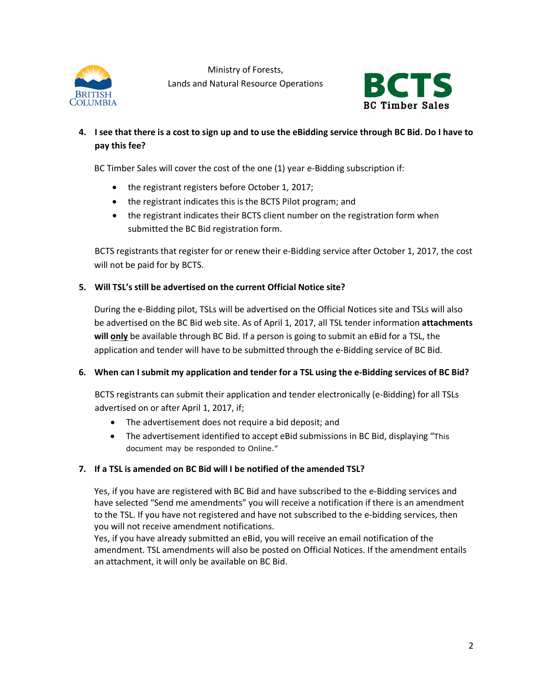



## **4. I see that there is a cost to sign up and to use the eBidding service through BC Bid. Do I have to pay this fee?**

BC Timber Sales will cover the cost of the one (1) year e-Bidding subscription if:

- the registrant registers before October 1, 2017;
- the registrant indicates this is the BCTS Pilot program; and
- the registrant indicates their BCTS client number on the registration form when submitted the BC Bid registration form.

BCTS registrants that register for or renew their e-Bidding service after October 1, 2017, the cost will not be paid for by BCTS.

#### **5. Will TSL's still be advertised on the current Official Notice site?**

During the e-Bidding pilot, TSLs will be advertised on the Official Notices site and TSLs will also be advertised on the BC Bid web site. As of April 1, 2017, all TSL tender information **attachments will only** be available through BC Bid. If a person is going to submit an eBid for a TSL, the application and tender will have to be submitted through the e-Bidding service of BC Bid.

#### **6. When can I submit my application and tender for a TSL using the e-Bidding services of BC Bid?**

BCTS registrants can submit their application and tender electronically (e-Bidding) for all TSLs advertised on or after April 1, 2017, if;

- The advertisement does not require a bid deposit; and
- The advertisement identified to accept eBid submissions in BC Bid, displaying "This document may be responded to Online."

#### **7. If a TSL is amended on BC Bid will I be notified of the amended TSL?**

Yes, if you have are registered with BC Bid and have subscribed to the e-Bidding services and have selected "Send me amendments" you will receive a notification if there is an amendment to the TSL. If you have not registered and have not subscribed to the e-bidding services, then you will not receive amendment notifications.

Yes, if you have already submitted an eBid, you will receive an email notification of the amendment. TSL amendments will also be posted on Official Notices. If the amendment entails an attachment, it will only be available on BC Bid.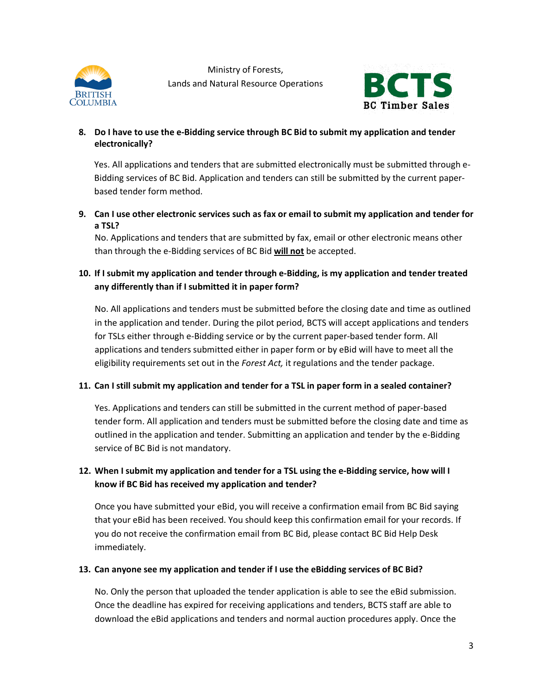



#### **8. Do I have to use the e-Bidding service through BC Bid to submit my application and tender electronically?**

Yes. All applications and tenders that are submitted electronically must be submitted through e-Bidding services of BC Bid. Application and tenders can still be submitted by the current paperbased tender form method.

**9. Can I use other electronic services such as fax or email to submit my application and tender for a TSL?**

No. Applications and tenders that are submitted by fax, email or other electronic means other than through the e-Bidding services of BC Bid **will not** be accepted.

# **10. If I submit my application and tender through e-Bidding, is my application and tender treated any differently than if I submitted it in paper form?**

No. All applications and tenders must be submitted before the closing date and time as outlined in the application and tender. During the pilot period, BCTS will accept applications and tenders for TSLs either through e-Bidding service or by the current paper-based tender form. All applications and tenders submitted either in paper form or by eBid will have to meet all the eligibility requirements set out in the *Forest Act,* it regulations and the tender package.

## **11. Can I still submit my application and tender for a TSL in paper form in a sealed container?**

Yes. Applications and tenders can still be submitted in the current method of paper-based tender form. All application and tenders must be submitted before the closing date and time as outlined in the application and tender. Submitting an application and tender by the e-Bidding service of BC Bid is not mandatory.

# **12. When I submit my application and tender for a TSL using the e-Bidding service, how will I know if BC Bid has received my application and tender?**

Once you have submitted your eBid, you will receive a confirmation email from BC Bid saying that your eBid has been received. You should keep this confirmation email for your records. If you do not receive the confirmation email from BC Bid, please contact BC Bid Help Desk immediately.

#### **13. Can anyone see my application and tender if I use the eBidding services of BC Bid?**

No. Only the person that uploaded the tender application is able to see the eBid submission. Once the deadline has expired for receiving applications and tenders, BCTS staff are able to download the eBid applications and tenders and normal auction procedures apply. Once the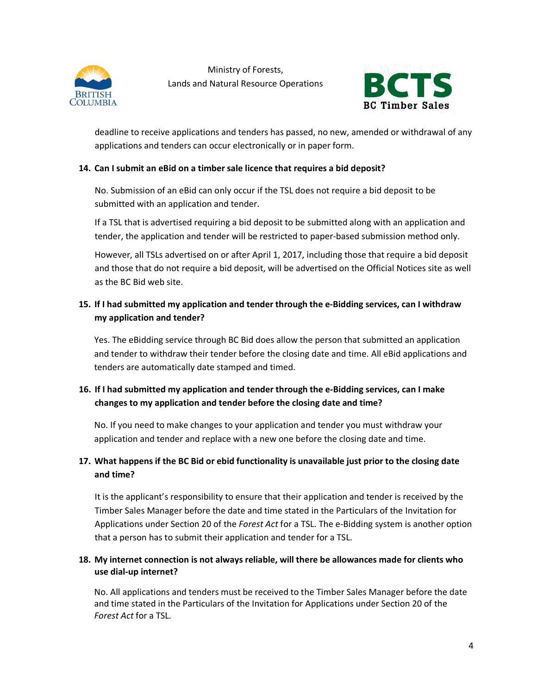



applications and tenders can occur electronically or in paper form. deadline to receive applications and tenders has passed, no new, amended or withdrawal of any

#### **14. Can I submit an eBid on a timber sale licence that requires a bid deposit?**

No. Submission of an eBid can only occur if the TSL does not require a bid deposit to be submitted with an application and tender.

If a TSL that is advertised requiring a bid deposit to be submitted along with an application and tender, the application and tender will be restricted to paper-based submission method only.

However, all TSLs advertised on or after April 1, 2017, including those that require a bid deposit and those that do not require a bid deposit, will be advertised on the Official Notices site as well as the BC Bid web site.

#### **15. If I had submitted my application and tender through the e-Bidding services, can I withdraw my application and tender?**

Yes. The eBidding service through BC Bid does allow the person that submitted an application and tender to withdraw their tender before the closing date and time. All eBid applications and tenders are automatically date stamped and timed.

## **16. If I had submitted my application and tender through the e-Bidding services, can I make changes to my application and tender before the closing date and time?**

No. If you need to make changes to your application and tender you must withdraw your application and tender and replace with a new one before the closing date and time.

## **17. What happens if the BC Bid or ebid functionality is unavailable just prior to the closing date and time?**

It is the applicant's responsibility to ensure that their application and tender is received by the Timber Sales Manager before the date and time stated in the Particulars of the Invitation for Applications under Section 20 of the *Forest Act* for a TSL. The e-Bidding system is another option that a person has to submit their application and tender for a TSL.

#### **18. My internet connection is not always reliable, will there be allowances made for clients who use dial-up internet?**

No. All applications and tenders must be received to the Timber Sales Manager before the date and time stated in the Particulars of the Invitation for Applications under Section 20 of the *Forest Act* for a TSL.